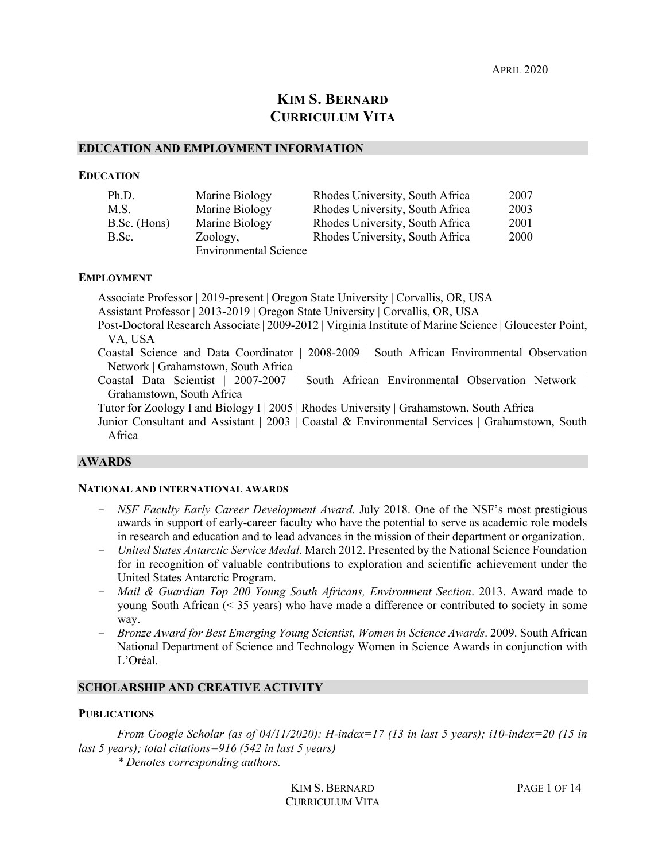APRIL 2020

# **KIM S. BERNARD CURRICULUM VITA**

#### **EDUCATION AND EMPLOYMENT INFORMATION**

#### **EDUCATION**

| Ph.D.        | Marine Biology               | Rhodes University, South Africa | 2007 |
|--------------|------------------------------|---------------------------------|------|
| M.S.         | Marine Biology               | Rhodes University, South Africa | 2003 |
| B.Sc. (Hons) | Marine Biology               | Rhodes University, South Africa | 2001 |
| B.Sc.        | Zoology,                     | Rhodes University, South Africa | 2000 |
|              | <b>Environmental Science</b> |                                 |      |

#### **EMPLOYMENT**

Associate Professor | 2019-present | Oregon State University | Corvallis, OR, USA Assistant Professor | 2013-2019 | Oregon State University | Corvallis, OR, USA Post-Doctoral Research Associate | 2009-2012 | Virginia Institute of Marine Science | Gloucester Point, VA, USA Coastal Science and Data Coordinator | 2008-2009 | South African Environmental Observation Network | Grahamstown, South Africa Coastal Data Scientist | 2007-2007 | South African Environmental Observation Network | Grahamstown, South Africa

Tutor for Zoology I and Biology I | 2005 | Rhodes University | Grahamstown, South Africa

Junior Consultant and Assistant | 2003 | Coastal & Environmental Services | Grahamstown, South Africa

#### **AWARDS**

#### **NATIONAL AND INTERNATIONAL AWARDS**

- *NSF Faculty Early Career Development Award*. July 2018. One of the NSF's most prestigious awards in support of early-career faculty who have the potential to serve as academic role models in research and education and to lead advances in the mission of their department or organization.
- *United States Antarctic Service Medal*. March 2012. Presented by the National Science Foundation for in recognition of valuable contributions to exploration and scientific achievement under the United States Antarctic Program.
- *Mail & Guardian Top 200 Young South Africans, Environment Section*. 2013. Award made to young South African (< 35 years) who have made a difference or contributed to society in some way.
- *Bronze Award for Best Emerging Young Scientist, Women in Science Awards*. 2009. South African National Department of Science and Technology Women in Science Awards in conjunction with L'Oréal.

#### **SCHOLARSHIP AND CREATIVE ACTIVITY**

#### **PUBLICATIONS**

*From Google Scholar (as of 04/11/2020): H-index=17 (13 in last 5 years); i10-index=20 (15 in last 5 years); total citations=916 (542 in last 5 years)*

*\* Denotes corresponding authors.*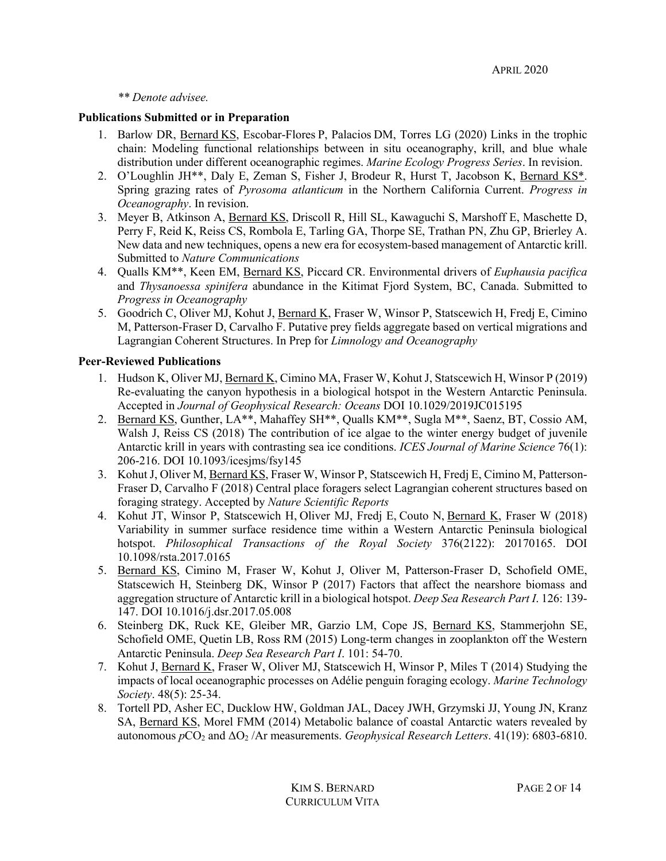*\*\* Denote advisee.*

### **Publications Submitted or in Preparation**

- 1. Barlow DR, Bernard KS, Escobar-Flores P, Palacios DM, Torres LG (2020) Links in the trophic chain: Modeling functional relationships between in situ oceanography, krill, and blue whale distribution under different oceanographic regimes. *Marine Ecology Progress Series*. In revision.
- 2. O'Loughlin JH\*\*, Daly E, Zeman S, Fisher J, Brodeur R, Hurst T, Jacobson K, Bernard KS\*. Spring grazing rates of *Pyrosoma atlanticum* in the Northern California Current. *Progress in Oceanography*. In revision.
- 3. Meyer B, Atkinson A, Bernard KS, Driscoll R, Hill SL, Kawaguchi S, Marshoff E, Maschette D, Perry F, Reid K, Reiss CS, Rombola E, Tarling GA, Thorpe SE, Trathan PN, Zhu GP, Brierley A. New data and new techniques, opens a new era for ecosystem-based management of Antarctic krill. Submitted to *Nature Communications*
- 4. Qualls KM\*\*, Keen EM, Bernard KS, Piccard CR. Environmental drivers of *Euphausia pacifica* and *Thysanoessa spinifera* abundance in the Kitimat Fjord System, BC, Canada. Submitted to *Progress in Oceanography*
- 5. Goodrich C, Oliver MJ, Kohut J, Bernard K, Fraser W, Winsor P, Statscewich H, Fredj E, Cimino M, Patterson-Fraser D, Carvalho F. Putative prey fields aggregate based on vertical migrations and Lagrangian Coherent Structures. In Prep for *Limnology and Oceanography*

# **Peer-Reviewed Publications**

- 1. Hudson K, Oliver MJ, Bernard K, Cimino MA, Fraser W, Kohut J, Statscewich H, Winsor P (2019) Re-evaluating the canyon hypothesis in a biological hotspot in the Western Antarctic Peninsula. Accepted in *Journal of Geophysical Research: Oceans* DOI 10.1029/2019JC015195
- 2. Bernard KS, Gunther, LA\*\*, Mahaffey SH\*\*, Qualls KM\*\*, Sugla M\*\*, Saenz, BT, Cossio AM, Walsh J, Reiss CS (2018) The contribution of ice algae to the winter energy budget of juvenile Antarctic krill in years with contrasting sea ice conditions. *ICES Journal of Marine Science* 76(1): 206-216. DOI 10.1093/icesjms/fsy145
- 3. Kohut J, Oliver M, Bernard KS, Fraser W, Winsor P, Statscewich H, Fredj E, Cimino M, Patterson-Fraser D, Carvalho F (2018) Central place foragers select Lagrangian coherent structures based on foraging strategy. Accepted by *Nature Scientific Reports*
- 4. Kohut JT, Winsor P, Statscewich H, Oliver MJ, Fredj E, Couto N, Bernard K, Fraser W (2018) Variability in summer surface residence time within a Western Antarctic Peninsula biological hotspot. *Philosophical Transactions of the Royal Society* 376(2122): 20170165. DOI 10.1098/rsta.2017.0165
- 5. Bernard KS, Cimino M, Fraser W, Kohut J, Oliver M, Patterson-Fraser D, Schofield OME, Statscewich H, Steinberg DK, Winsor P (2017) Factors that affect the nearshore biomass and aggregation structure of Antarctic krill in a biological hotspot. *Deep Sea Research Part I*. 126: 139- 147. DOI 10.1016/j.dsr.2017.05.008
- 6. Steinberg DK, Ruck KE, Gleiber MR, Garzio LM, Cope JS, Bernard KS, Stammerjohn SE, Schofield OME, Quetin LB, Ross RM (2015) Long-term changes in zooplankton off the Western Antarctic Peninsula. *Deep Sea Research Part I*. 101: 54-70.
- 7. Kohut J, Bernard K, Fraser W, Oliver MJ, Statscewich H, Winsor P, Miles T (2014) Studying the impacts of local oceanographic processes on Adélie penguin foraging ecology. *Marine Technology Society*. 48(5): 25-34.
- 8. Tortell PD, Asher EC, Ducklow HW, Goldman JAL, Dacey JWH, Grzymski JJ, Young JN, Kranz SA, Bernard KS, Morel FMM (2014) Metabolic balance of coastal Antarctic waters revealed by autonomous *p*CO<sub>2</sub> and ΔO<sub>2</sub> /Ar measurements. *Geophysical Research Letters*. 41(19): 6803-6810.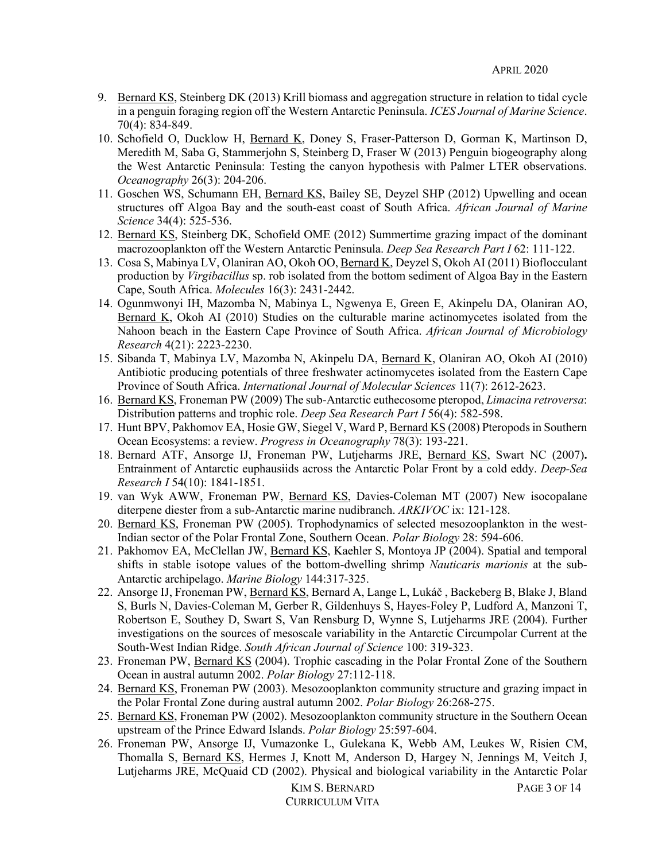- 9. Bernard KS, Steinberg DK (2013) Krill biomass and aggregation structure in relation to tidal cycle in a penguin foraging region off the Western Antarctic Peninsula. *ICES Journal of Marine Science*. 70(4): 834-849.
- 10. Schofield O, Ducklow H, Bernard K, Doney S, Fraser-Patterson D, Gorman K, Martinson D, Meredith M, Saba G, Stammerjohn S, Steinberg D, Fraser W (2013) Penguin biogeography along the West Antarctic Peninsula: Testing the canyon hypothesis with Palmer LTER observations. *Oceanography* 26(3): 204-206.
- 11. Goschen WS, Schumann EH, Bernard KS, Bailey SE, Deyzel SHP (2012) Upwelling and ocean structures off Algoa Bay and the south-east coast of South Africa. *African Journal of Marine Science* 34(4): 525-536.
- 12. Bernard KS, Steinberg DK, Schofield OME (2012) Summertime grazing impact of the dominant macrozooplankton off the Western Antarctic Peninsula. *Deep Sea Research Part I* 62: 111-122.
- 13. Cosa S, Mabinya LV, Olaniran AO, Okoh OO, Bernard K, Deyzel S, Okoh AI (2011) Bioflocculant production by *Virgibacillus* sp. rob isolated from the bottom sediment of Algoa Bay in the Eastern Cape, South Africa. *Molecules* 16(3): 2431-2442.
- 14. Ogunmwonyi IH, Mazomba N, Mabinya L, Ngwenya E, Green E, Akinpelu DA, Olaniran AO, Bernard K, Okoh AI (2010) Studies on the culturable marine actinomycetes isolated from the Nahoon beach in the Eastern Cape Province of South Africa. *African Journal of Microbiology Research* 4(21): 2223-2230.
- 15. Sibanda T, Mabinya LV, Mazomba N, Akinpelu DA, Bernard K, Olaniran AO, Okoh AI (2010) Antibiotic producing potentials of three freshwater actinomycetes isolated from the Eastern Cape Province of South Africa. *International Journal of Molecular Sciences* 11(7): 2612-2623.
- 16. Bernard KS, Froneman PW (2009) The sub-Antarctic euthecosome pteropod, *Limacina retroversa*: Distribution patterns and trophic role. *Deep Sea Research Part I* 56(4): 582-598.
- 17. Hunt BPV, Pakhomov EA, Hosie GW, Siegel V, Ward P, Bernard KS (2008) Pteropods in Southern Ocean Ecosystems: a review. *Progress in Oceanography* 78(3): 193-221.
- 18. Bernard ATF, Ansorge IJ, Froneman PW, Lutjeharms JRE, Bernard KS, Swart NC (2007)**.** Entrainment of Antarctic euphausiids across the Antarctic Polar Front by a cold eddy. *Deep-Sea Research I* 54(10): 1841-1851.
- 19. van Wyk AWW, Froneman PW, Bernard KS, Davies-Coleman MT (2007) New isocopalane diterpene diester from a sub-Antarctic marine nudibranch. *ARKIVOC* ix: 121-128.
- 20. Bernard KS, Froneman PW (2005). Trophodynamics of selected mesozooplankton in the west-Indian sector of the Polar Frontal Zone, Southern Ocean. *Polar Biology* 28: 594-606.
- 21. Pakhomov EA, McClellan JW, Bernard KS, Kaehler S, Montoya JP (2004). Spatial and temporal shifts in stable isotope values of the bottom-dwelling shrimp *Nauticaris marionis* at the sub-Antarctic archipelago. *Marine Biology* 144:317-325.
- 22. Ansorge IJ, Froneman PW, Bernard KS, Bernard A, Lange L, Lukáč, Backeberg B, Blake J, Bland S, Burls N, Davies-Coleman M, Gerber R, Gildenhuys S, Hayes-Foley P, Ludford A, Manzoni T, Robertson E, Southey D, Swart S, Van Rensburg D, Wynne S, Lutjeharms JRE (2004). Further investigations on the sources of mesoscale variability in the Antarctic Circumpolar Current at the South-West Indian Ridge. *South African Journal of Science* 100: 319-323.
- 23. Froneman PW, Bernard KS (2004). Trophic cascading in the Polar Frontal Zone of the Southern Ocean in austral autumn 2002. *Polar Biology* 27:112-118.
- 24. Bernard KS, Froneman PW (2003). Mesozooplankton community structure and grazing impact in the Polar Frontal Zone during austral autumn 2002. *Polar Biology* 26:268-275.
- 25. Bernard KS, Froneman PW (2002). Mesozooplankton community structure in the Southern Ocean upstream of the Prince Edward Islands. *Polar Biology* 25:597-604.
- 26. Froneman PW, Ansorge IJ, Vumazonke L, Gulekana K, Webb AM, Leukes W, Risien CM, Thomalla S, Bernard KS, Hermes J, Knott M, Anderson D, Hargey N, Jennings M, Veitch J, Lutjeharms JRE, McQuaid CD (2002). Physical and biological variability in the Antarctic Polar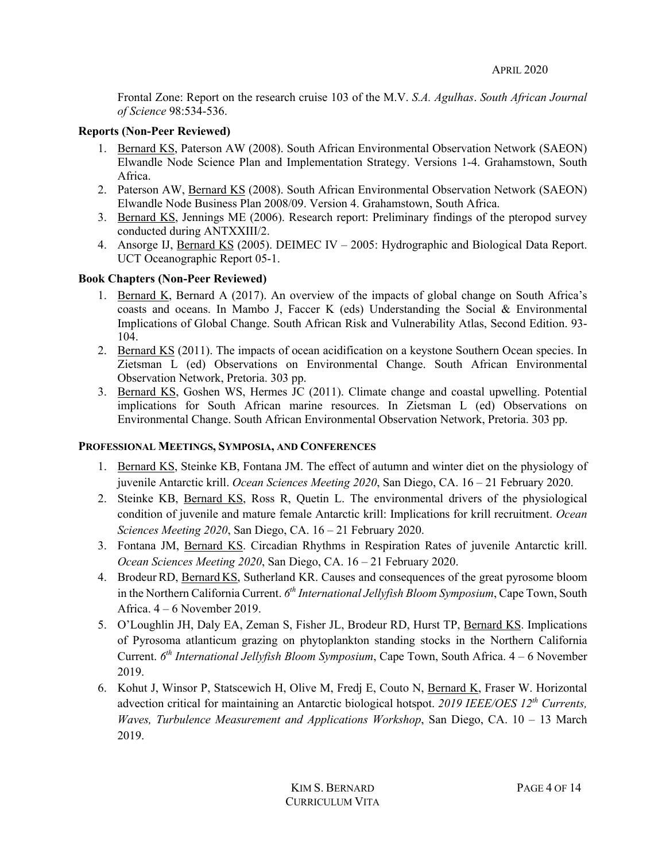Frontal Zone: Report on the research cruise 103 of the M.V. *S.A. Agulhas*. *South African Journal of Science* 98:534-536.

### **Reports (Non-Peer Reviewed)**

- 1. Bernard KS, Paterson AW (2008). South African Environmental Observation Network (SAEON) Elwandle Node Science Plan and Implementation Strategy. Versions 1-4. Grahamstown, South Africa.
- 2. Paterson AW, Bernard KS (2008). South African Environmental Observation Network (SAEON) Elwandle Node Business Plan 2008/09. Version 4. Grahamstown, South Africa.
- 3. Bernard KS, Jennings ME (2006). Research report: Preliminary findings of the pteropod survey conducted during ANTXXIII/2.
- 4. Ansorge IJ, Bernard KS (2005). DEIMEC IV 2005: Hydrographic and Biological Data Report. UCT Oceanographic Report 05-1.

# **Book Chapters (Non-Peer Reviewed)**

- 1. Bernard K, Bernard A (2017). An overview of the impacts of global change on South Africa's coasts and oceans. In Mambo J, Faccer K (eds) Understanding the Social & Environmental Implications of Global Change. South African Risk and Vulnerability Atlas, Second Edition. 93- 104.
- 2. Bernard KS (2011). The impacts of ocean acidification on a keystone Southern Ocean species. In Zietsman L (ed) Observations on Environmental Change. South African Environmental Observation Network, Pretoria. 303 pp.
- 3. Bernard KS, Goshen WS, Hermes JC (2011). Climate change and coastal upwelling. Potential implications for South African marine resources. In Zietsman L (ed) Observations on Environmental Change. South African Environmental Observation Network, Pretoria. 303 pp.

## **PROFESSIONAL MEETINGS, SYMPOSIA, AND CONFERENCES**

- 1. Bernard KS, Steinke KB, Fontana JM. The effect of autumn and winter diet on the physiology of juvenile Antarctic krill. *Ocean Sciences Meeting 2020*, San Diego, CA. 16 – 21 February 2020.
- 2. Steinke KB, Bernard KS, Ross R, Quetin L. The environmental drivers of the physiological condition of juvenile and mature female Antarctic krill: Implications for krill recruitment. *Ocean Sciences Meeting 2020*, San Diego, CA. 16 – 21 February 2020.
- 3. Fontana JM, Bernard KS. Circadian Rhythms in Respiration Rates of juvenile Antarctic krill. *Ocean Sciences Meeting 2020*, San Diego, CA. 16 – 21 February 2020.
- 4. Brodeur RD, Bernard KS, Sutherland KR. Causes and consequences of the great pyrosome bloom in the Northern California Current. *6th International Jellyfish Bloom Symposium*, Cape Town, South Africa. 4 – 6 November 2019.
- 5. O'Loughlin JH, Daly EA, Zeman S, Fisher JL, Brodeur RD, Hurst TP, Bernard KS. Implications of Pyrosoma atlanticum grazing on phytoplankton standing stocks in the Northern California Current. *6th International Jellyfish Bloom Symposium*, Cape Town, South Africa. 4 – 6 November 2019.
- 6. Kohut J, Winsor P, Statscewich H, Olive M, Fredj E, Couto N, Bernard K, Fraser W. Horizontal advection critical for maintaining an Antarctic biological hotspot. *2019 IEEE/OES 12th Currents, Waves, Turbulence Measurement and Applications Workshop*, San Diego, CA. 10 – 13 March 2019.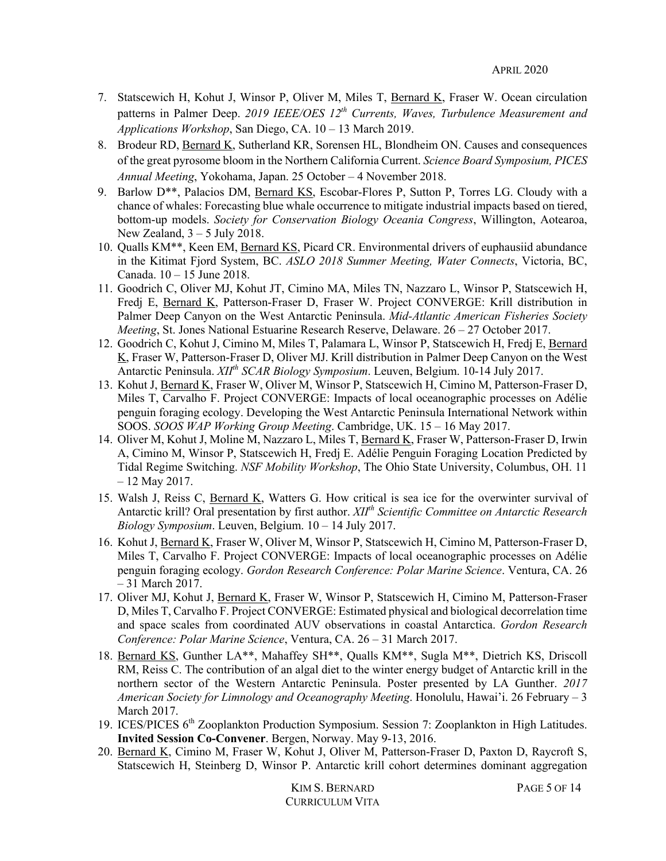- 7. Statscewich H, Kohut J, Winsor P, Oliver M, Miles T, Bernard K, Fraser W. Ocean circulation patterns in Palmer Deep. *2019 IEEE/OES 12th Currents, Waves, Turbulence Measurement and Applications Workshop*, San Diego, CA. 10 – 13 March 2019.
- 8. Brodeur RD, Bernard K, Sutherland KR, Sorensen HL, Blondheim ON. Causes and consequences of the great pyrosome bloom in the Northern California Current. *Science Board Symposium, PICES Annual Meeting*, Yokohama, Japan. 25 October – 4 November 2018.
- 9. Barlow D\*\*, Palacios DM, Bernard KS, Escobar-Flores P, Sutton P, Torres LG. Cloudy with a chance of whales: Forecasting blue whale occurrence to mitigate industrial impacts based on tiered, bottom-up models. *Society for Conservation Biology Oceania Congress*, Willington, Aotearoa, New Zealand,  $3 - 5$  July 2018.
- 10. Qualls KM\*\*, Keen EM, Bernard KS, Picard CR. Environmental drivers of euphausiid abundance in the Kitimat Fjord System, BC. *ASLO 2018 Summer Meeting, Water Connects*, Victoria, BC, Canada. 10 – 15 June 2018.
- 11. Goodrich C, Oliver MJ, Kohut JT, Cimino MA, Miles TN, Nazzaro L, Winsor P, Statscewich H, Fredj E, Bernard K, Patterson-Fraser D, Fraser W. Project CONVERGE: Krill distribution in Palmer Deep Canyon on the West Antarctic Peninsula. *Mid-Atlantic American Fisheries Society Meeting*, St. Jones National Estuarine Research Reserve, Delaware. 26 – 27 October 2017.
- 12. Goodrich C, Kohut J, Cimino M, Miles T, Palamara L, Winsor P, Statscewich H, Fredj E, Bernard K, Fraser W, Patterson-Fraser D, Oliver MJ. Krill distribution in Palmer Deep Canyon on the West Antarctic Peninsula. *XIIth SCAR Biology Symposium*. Leuven, Belgium. 10-14 July 2017.
- 13. Kohut J, Bernard K, Fraser W, Oliver M, Winsor P, Statscewich H, Cimino M, Patterson-Fraser D, Miles T, Carvalho F. Project CONVERGE: Impacts of local oceanographic processes on Adélie penguin foraging ecology. Developing the West Antarctic Peninsula International Network within SOOS. *SOOS WAP Working Group Meeting*. Cambridge, UK. 15 – 16 May 2017.
- 14. Oliver M, Kohut J, Moline M, Nazzaro L, Miles T, Bernard K, Fraser W, Patterson-Fraser D, Irwin A, Cimino M, Winsor P, Statscewich H, Fredj E. Adélie Penguin Foraging Location Predicted by Tidal Regime Switching. *NSF Mobility Workshop*, The Ohio State University, Columbus, OH. 11 – 12 May 2017.
- 15. Walsh J, Reiss C, Bernard K, Watters G. How critical is sea ice for the overwinter survival of Antarctic krill? Oral presentation by first author. *XIIth Scientific Committee on Antarctic Research Biology Symposium*. Leuven, Belgium. 10 – 14 July 2017.
- 16. Kohut J, Bernard K, Fraser W, Oliver M, Winsor P, Statscewich H, Cimino M, Patterson-Fraser D, Miles T, Carvalho F. Project CONVERGE: Impacts of local oceanographic processes on Adélie penguin foraging ecology. *Gordon Research Conference: Polar Marine Science*. Ventura, CA. 26 – 31 March 2017.
- 17. Oliver MJ, Kohut J, Bernard K, Fraser W, Winsor P, Statscewich H, Cimino M, Patterson-Fraser D, Miles T, Carvalho F. Project CONVERGE: Estimated physical and biological decorrelation time and space scales from coordinated AUV observations in coastal Antarctica. *Gordon Research Conference: Polar Marine Science*, Ventura, CA. 26 – 31 March 2017.
- 18. Bernard KS, Gunther LA\*\*, Mahaffey SH\*\*, Qualls KM\*\*, Sugla M\*\*, Dietrich KS, Driscoll RM, Reiss C. The contribution of an algal diet to the winter energy budget of Antarctic krill in the northern sector of the Western Antarctic Peninsula. Poster presented by LA Gunther. *2017 American Society for Limnology and Oceanography Meeting*. Honolulu, Hawai'i. 26 February – 3 March 2017.
- 19. ICES/PICES 6<sup>th</sup> Zooplankton Production Symposium. Session 7: Zooplankton in High Latitudes. **Invited Session Co-Convener**. Bergen, Norway. May 9-13, 2016.
- 20. Bernard K, Cimino M, Fraser W, Kohut J, Oliver M, Patterson-Fraser D, Paxton D, Raycroft S, Statscewich H, Steinberg D, Winsor P. Antarctic krill cohort determines dominant aggregation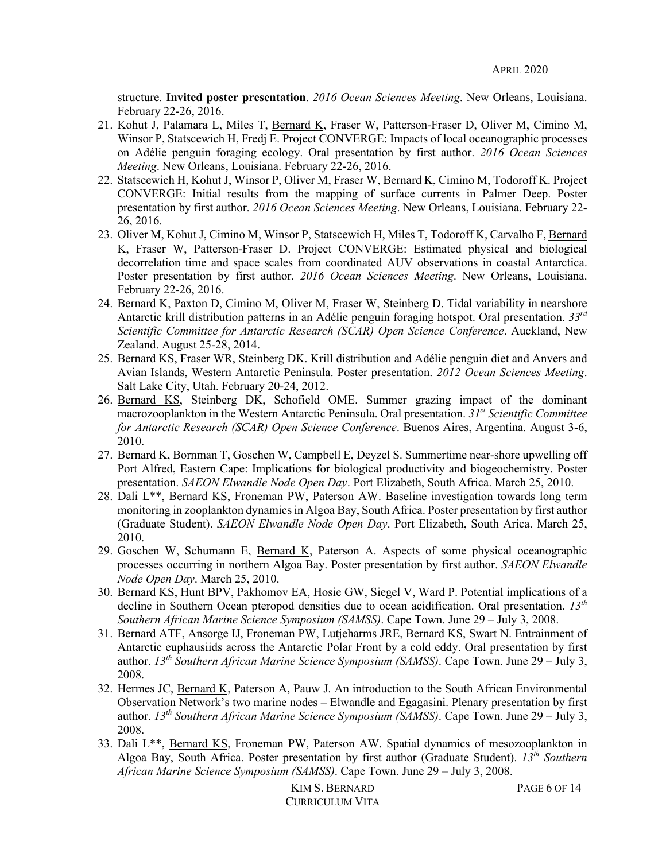structure. **Invited poster presentation**. *2016 Ocean Sciences Meeting*. New Orleans, Louisiana. February 22-26, 2016.

- 21. Kohut J, Palamara L, Miles T, Bernard K, Fraser W, Patterson-Fraser D, Oliver M, Cimino M, Winsor P, Statscewich H, Fredj E. Project CONVERGE: Impacts of local oceanographic processes on Adélie penguin foraging ecology. Oral presentation by first author. *2016 Ocean Sciences Meeting*. New Orleans, Louisiana. February 22-26, 2016.
- 22. Statscewich H, Kohut J, Winsor P, Oliver M, Fraser W, Bernard K, Cimino M, Todoroff K. Project CONVERGE: Initial results from the mapping of surface currents in Palmer Deep. Poster presentation by first author. *2016 Ocean Sciences Meeting*. New Orleans, Louisiana. February 22- 26, 2016.
- 23. Oliver M, Kohut J, Cimino M, Winsor P, Statscewich H, Miles T, Todoroff K, Carvalho F, Bernard K, Fraser W, Patterson-Fraser D. Project CONVERGE: Estimated physical and biological decorrelation time and space scales from coordinated AUV observations in coastal Antarctica. Poster presentation by first author. *2016 Ocean Sciences Meeting*. New Orleans, Louisiana. February 22-26, 2016.
- 24. Bernard K, Paxton D, Cimino M, Oliver M, Fraser W, Steinberg D. Tidal variability in nearshore Antarctic krill distribution patterns in an Adélie penguin foraging hotspot. Oral presentation. *33rd Scientific Committee for Antarctic Research (SCAR) Open Science Conference*. Auckland, New Zealand. August 25-28, 2014.
- 25. Bernard KS, Fraser WR, Steinberg DK. Krill distribution and Adélie penguin diet and Anvers and Avian Islands, Western Antarctic Peninsula. Poster presentation. *2012 Ocean Sciences Meeting*. Salt Lake City, Utah. February 20-24, 2012.
- 26. Bernard KS, Steinberg DK, Schofield OME. Summer grazing impact of the dominant macrozooplankton in the Western Antarctic Peninsula. Oral presentation. *31st Scientific Committee for Antarctic Research (SCAR) Open Science Conference*. Buenos Aires, Argentina. August 3-6, 2010.
- 27. Bernard K, Bornman T, Goschen W, Campbell E, Deyzel S. Summertime near-shore upwelling off Port Alfred, Eastern Cape: Implications for biological productivity and biogeochemistry. Poster presentation. *SAEON Elwandle Node Open Day*. Port Elizabeth, South Africa. March 25, 2010.
- 28. Dali L\*\*, Bernard KS, Froneman PW, Paterson AW. Baseline investigation towards long term monitoring in zooplankton dynamics in Algoa Bay, South Africa. Poster presentation by first author (Graduate Student). *SAEON Elwandle Node Open Day*. Port Elizabeth, South Arica. March 25, 2010.
- 29. Goschen W, Schumann E, Bernard K, Paterson A. Aspects of some physical oceanographic processes occurring in northern Algoa Bay. Poster presentation by first author. *SAEON Elwandle Node Open Day*. March 25, 2010.
- 30. Bernard KS, Hunt BPV, Pakhomov EA, Hosie GW, Siegel V, Ward P. Potential implications of a decline in Southern Ocean pteropod densities due to ocean acidification. Oral presentation. *13th Southern African Marine Science Symposium (SAMSS)*. Cape Town. June 29 – July 3, 2008.
- 31. Bernard ATF, Ansorge IJ, Froneman PW, Lutjeharms JRE, Bernard KS, Swart N. Entrainment of Antarctic euphausiids across the Antarctic Polar Front by a cold eddy. Oral presentation by first author. *13th Southern African Marine Science Symposium (SAMSS)*. Cape Town. June 29 – July 3, 2008.
- 32. Hermes JC, Bernard K, Paterson A, Pauw J. An introduction to the South African Environmental Observation Network's two marine nodes – Elwandle and Egagasini. Plenary presentation by first author. *13th Southern African Marine Science Symposium (SAMSS)*. Cape Town. June 29 – July 3, 2008.
- 33. Dali L\*\*, Bernard KS, Froneman PW, Paterson AW. Spatial dynamics of mesozooplankton in Algoa Bay, South Africa. Poster presentation by first author (Graduate Student). *13th Southern African Marine Science Symposium (SAMSS)*. Cape Town. June 29 – July 3, 2008.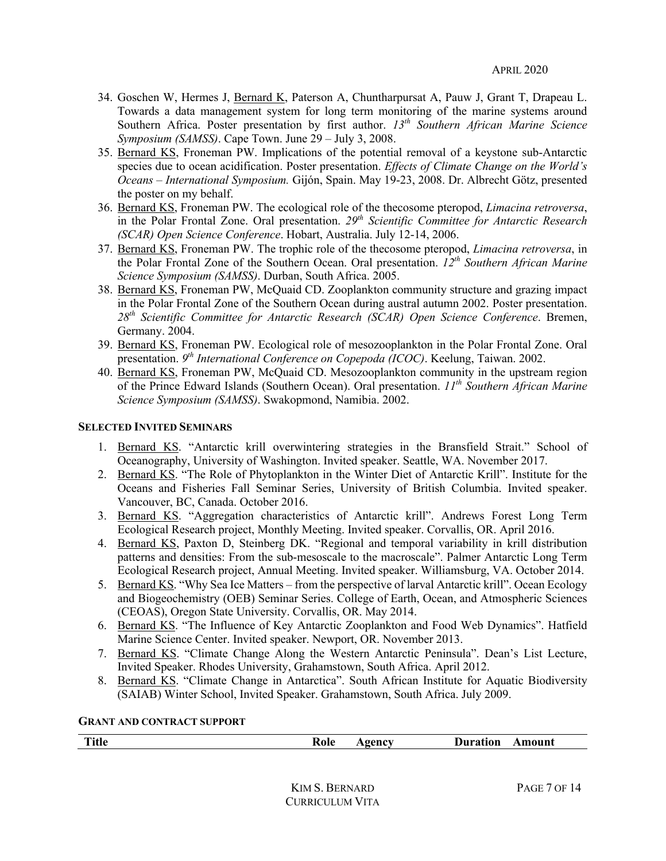- 34. Goschen W, Hermes J, Bernard K, Paterson A, Chuntharpursat A, Pauw J, Grant T, Drapeau L. Towards a data management system for long term monitoring of the marine systems around Southern Africa. Poster presentation by first author. *13th Southern African Marine Science Symposium (SAMSS)*. Cape Town. June 29 – July 3, 2008.
- 35. Bernard KS, Froneman PW. Implications of the potential removal of a keystone sub-Antarctic species due to ocean acidification. Poster presentation. *Effects of Climate Change on the World's Oceans – International Symposium.* Gijón, Spain. May 19-23, 2008. Dr. Albrecht Götz, presented the poster on my behalf.
- 36. Bernard KS, Froneman PW. The ecological role of the thecosome pteropod, *Limacina retroversa*, in the Polar Frontal Zone. Oral presentation. *29th Scientific Committee for Antarctic Research (SCAR) Open Science Conference*. Hobart, Australia. July 12-14, 2006.
- 37. Bernard KS, Froneman PW. The trophic role of the thecosome pteropod, *Limacina retroversa*, in the Polar Frontal Zone of the Southern Ocean. Oral presentation. *12th Southern African Marine Science Symposium (SAMSS)*. Durban, South Africa. 2005.
- 38. Bernard KS, Froneman PW, McQuaid CD. Zooplankton community structure and grazing impact in the Polar Frontal Zone of the Southern Ocean during austral autumn 2002. Poster presentation. *28th Scientific Committee for Antarctic Research (SCAR) Open Science Conference*. Bremen, Germany. 2004.
- 39. Bernard KS, Froneman PW. Ecological role of mesozooplankton in the Polar Frontal Zone. Oral presentation. *9th International Conference on Copepoda (ICOC)*. Keelung, Taiwan. 2002.
- 40. Bernard KS, Froneman PW, McQuaid CD. Mesozooplankton community in the upstream region of the Prince Edward Islands (Southern Ocean). Oral presentation. *11th Southern African Marine Science Symposium (SAMSS)*. Swakopmond, Namibia. 2002.

### **SELECTED INVITED SEMINARS**

- 1. Bernard KS. "Antarctic krill overwintering strategies in the Bransfield Strait." School of Oceanography, University of Washington. Invited speaker. Seattle, WA. November 2017.
- 2. Bernard KS. "The Role of Phytoplankton in the Winter Diet of Antarctic Krill". Institute for the Oceans and Fisheries Fall Seminar Series, University of British Columbia. Invited speaker. Vancouver, BC, Canada. October 2016.
- 3. Bernard KS. "Aggregation characteristics of Antarctic krill". Andrews Forest Long Term Ecological Research project, Monthly Meeting. Invited speaker. Corvallis, OR. April 2016.
- 4. Bernard KS, Paxton D, Steinberg DK. "Regional and temporal variability in krill distribution patterns and densities: From the sub-mesoscale to the macroscale". Palmer Antarctic Long Term Ecological Research project, Annual Meeting. Invited speaker. Williamsburg, VA. October 2014.
- 5. Bernard KS. "Why Sea Ice Matters from the perspective of larval Antarctic krill". Ocean Ecology and Biogeochemistry (OEB) Seminar Series. College of Earth, Ocean, and Atmospheric Sciences (CEOAS), Oregon State University. Corvallis, OR. May 2014.
- 6. Bernard KS. "The Influence of Key Antarctic Zooplankton and Food Web Dynamics". Hatfield Marine Science Center. Invited speaker. Newport, OR. November 2013.
- 7. Bernard KS. "Climate Change Along the Western Antarctic Peninsula". Dean's List Lecture, Invited Speaker. Rhodes University, Grahamstown, South Africa. April 2012.
- 8. Bernard KS. "Climate Change in Antarctica". South African Institute for Aquatic Biodiversity (SAIAB) Winter School, Invited Speaker. Grahamstown, South Africa. July 2009.

#### **GRANT AND CONTRACT SUPPORT**

| <b>Title</b> | Role | $\bf{A}$ genc $\bf{v}$ | <b>Duration</b><br>Amount |
|--------------|------|------------------------|---------------------------|
|              |      |                        |                           |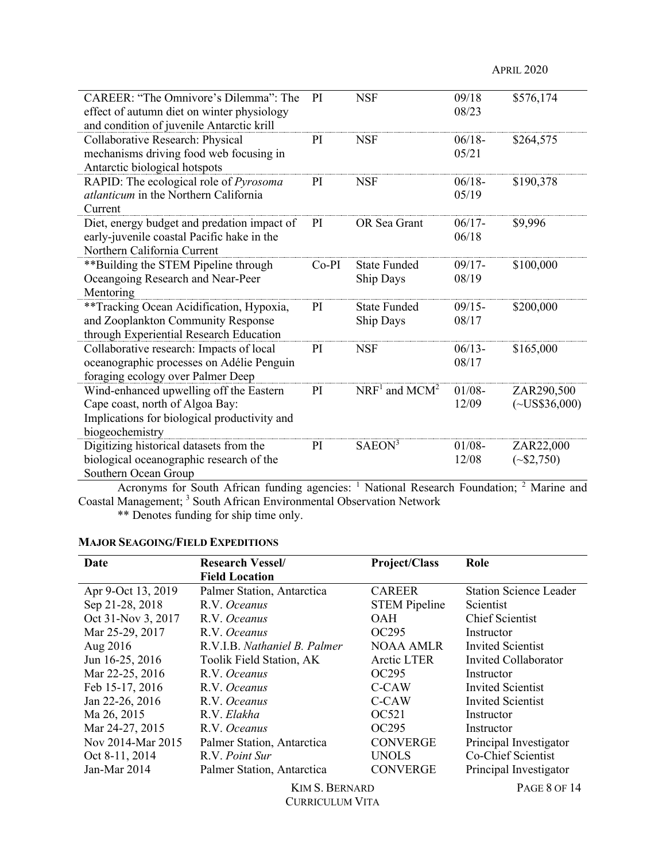| CAREER: "The Omnivore's Dilemma": The                                                   | PI      | <b>NSF</b>                  | 09/18                    | \$576,174          |
|-----------------------------------------------------------------------------------------|---------|-----------------------------|--------------------------|--------------------|
| effect of autumn diet on winter physiology<br>and condition of juvenile Antarctic krill |         |                             | 08/23                    |                    |
| Collaborative Research: Physical                                                        | PI.     | <b>NSF</b>                  | $06/18-$                 | \$264,575          |
| mechanisms driving food web focusing in                                                 |         |                             | 05/21                    |                    |
| Antarctic biological hotspots                                                           |         |                             |                          |                    |
| RAPID: The ecological role of Pyrosoma                                                  | PI      | <b>NSF</b>                  | $06/18-$                 | \$190,378          |
| <i>atlanticum</i> in the Northern California                                            |         |                             | 05/19                    |                    |
| Current                                                                                 |         |                             |                          |                    |
| Diet, energy budget and predation impact of                                             | PI      | OR Sea Grant                | $06/17 -$                | \$9,996            |
| early-juvenile coastal Pacific hake in the                                              |         |                             | 06/18                    |                    |
| Northern California Current                                                             |         |                             |                          |                    |
| **Building the STEM Pipeline through                                                    | $Co-PI$ | <b>State Funded</b>         | $09/17 -$                | \$100,000          |
| Oceangoing Research and Near-Peer                                                       |         | Ship Days                   | 08/19                    |                    |
| Mentoring                                                                               |         |                             |                          |                    |
| **Tracking Ocean Acidification, Hypoxia,                                                | PI      | <b>State Funded</b>         | $09/15 -$                | \$200,000          |
| and Zooplankton Community Response<br>through Experiential Research Education           |         | Ship Days                   | 08/17                    |                    |
| Collaborative research: Impacts of local                                                | PI      | <b>NSF</b>                  | $06/13 -$                | \$165,000          |
| oceanographic processes on Adélie Penguin                                               |         |                             | 08/17                    |                    |
| foraging ecology over Palmer Deep                                                       |         |                             |                          |                    |
| Wind-enhanced upwelling off the Eastern                                                 | PI      | $NRF1$ and MCM <sup>2</sup> | $01/08 -$                | ZAR290,500         |
| Cape coast, north of Algoa Bay:                                                         |         |                             | 12/09                    | $(\sim USS36,000)$ |
| Implications for biological productivity and                                            |         |                             |                          |                    |
| biogeochemistry                                                                         |         |                             |                          |                    |
| Digitizing historical datasets from the                                                 | PI      | SAEON <sup>3</sup>          | $01/08 -$                | ZAR22,000          |
| biological oceanographic research of the                                                |         |                             | 12/08                    | $(*\$2,750)$       |
| Southern Ocean Group                                                                    |         |                             |                          |                    |
| $\mathcal{L} = \mathcal{L} = \mathbb{C} \cup \mathbb{C}$<br>0.111                       |         | $1$ Maticard D.             | $1.$ $\Gamma$ and $1.41$ | $2 \Delta L$       |

Acronyms for South African funding agencies: <sup>1</sup> National Research Foundation; <sup>2</sup> Marine and Coastal Management; <sup>3</sup> South African Environmental Observation Network

\*\* Denotes funding for ship time only.

# **MAJOR SEAGOING/FIELD EXPEDITIONS**

| Date               | <b>Research Vessel/</b>      | <b>Project/Class</b> | Role                          |
|--------------------|------------------------------|----------------------|-------------------------------|
|                    | <b>Field Location</b>        |                      |                               |
| Apr 9-Oct 13, 2019 | Palmer Station, Antarctica   | <b>CAREER</b>        | <b>Station Science Leader</b> |
| Sep 21-28, 2018    | R.V. Oceanus                 | <b>STEM Pipeline</b> | Scientist                     |
| Oct 31-Nov 3, 2017 | R.V. Oceanus                 | <b>OAH</b>           | <b>Chief Scientist</b>        |
| Mar 25-29, 2017    | R.V. Oceanus                 | OC295                | Instructor                    |
| Aug 2016           | R.V.I.B. Nathaniel B. Palmer | NOAA AMLR            | Invited Scientist             |
| Jun 16-25, 2016    | Toolik Field Station, AK     | Arctic LTER          | Invited Collaborator          |
| Mar 22-25, 2016    | R.V. Oceanus                 | OC <sub>295</sub>    | Instructor                    |
| Feb 15-17, 2016    | R.V. Oceanus                 | C-CAW                | Invited Scientist             |
| Jan 22-26, 2016    | R.V. Oceanus                 | C-CAW                | <b>Invited Scientist</b>      |
| Ma 26, 2015        | R.V. Elakha                  | OC521                | Instructor                    |
| Mar 24-27, 2015    | R.V. Oceanus                 | OC <sub>295</sub>    | Instructor                    |
| Nov 2014-Mar 2015  | Palmer Station, Antarctica   | <b>CONVERGE</b>      | Principal Investigator        |
| Oct 8-11, 2014     | R.V. Point Sur               | <b>UNOLS</b>         | Co-Chief Scientist            |
| Jan-Mar $2014$     | Palmer Station, Antarctica   | <b>CONVERGE</b>      | Principal Investigator        |
|                    | <b>KIM S. BERNARD</b>        |                      | <b>PAGE 8 OF 14</b>           |

CURRICULUM VITA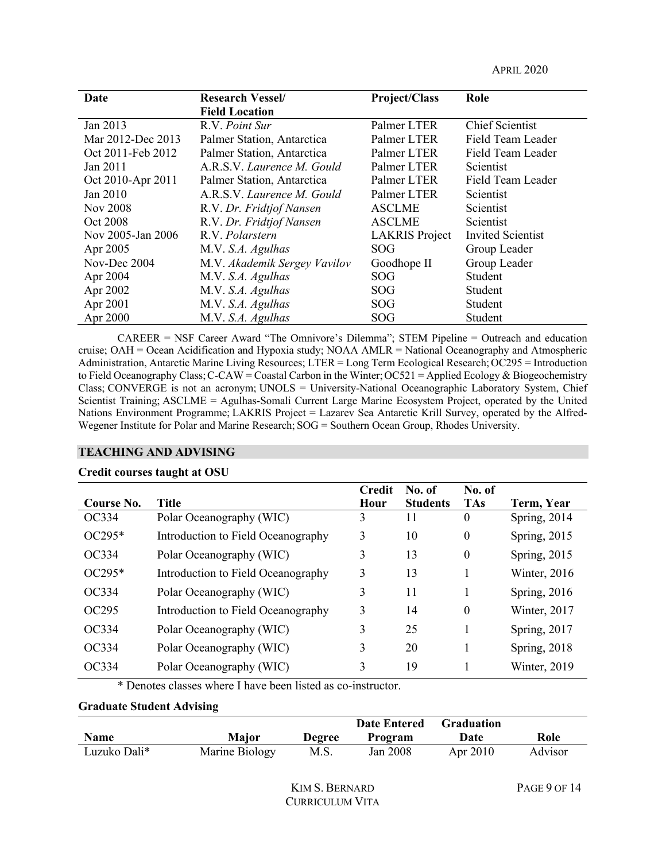APRIL 2020

| Date              | <b>Research Vessel/</b>      | Project/Class         | Role                     |
|-------------------|------------------------------|-----------------------|--------------------------|
|                   | <b>Field Location</b>        |                       |                          |
| Jan 2013          | R.V. Point Sur               | Palmer LTER           | <b>Chief Scientist</b>   |
| Mar 2012-Dec 2013 | Palmer Station, Antarctica   | Palmer LTER           | Field Team Leader        |
| Oct 2011-Feb 2012 | Palmer Station, Antarctica   | Palmer LTER           | Field Team Leader        |
| Jan 2011          | A.R.S.V. Laurence M. Gould   | Palmer LTER           | Scientist                |
| Oct 2010-Apr 2011 | Palmer Station, Antarctica   | Palmer LTER           | Field Team Leader        |
| Jan 2010          | A.R.S.V. Laurence M. Gould   | Palmer LTER           | Scientist                |
| <b>Nov 2008</b>   | R.V. Dr. Fridtjof Nansen     | <b>ASCLME</b>         | Scientist                |
| Oct 2008          | R.V. Dr. Fridtjof Nansen     | <b>ASCLME</b>         | Scientist                |
| Nov 2005-Jan 2006 | R.V. Polarstern              | <b>LAKRIS</b> Project | <b>Invited Scientist</b> |
| Apr 2005          | M.V. S.A. Agulhas            | SOG                   | Group Leader             |
| Nov-Dec 2004      | M.V. Akademik Sergey Vavilov | Goodhope II           | Group Leader             |
| Apr 2004          | M.V. S.A. Agulhas            | SOG                   | Student                  |
| Apr 2002          | M.V. S.A. Agulhas            | SOG                   | Student                  |
| Apr 2001          | M.V. S.A. Agulhas            | <b>SOG</b>            | Student                  |
| Apr 2000          | M.V. S.A. Agulhas            | SOG                   | Student                  |

CAREER = NSF Career Award "The Omnivore's Dilemma"; STEM Pipeline = Outreach and education cruise; OAH = Ocean Acidification and Hypoxia study; NOAA AMLR = National Oceanography and Atmospheric Administration, Antarctic Marine Living Resources; LTER = Long Term Ecological Research; OC295 = Introduction to Field Oceanography Class;C-CAW = Coastal Carbon in the Winter;OC521 = Applied Ecology & Biogeochemistry Class; CONVERGE is not an acronym; UNOLS = University-National Oceanographic Laboratory System, Chief Scientist Training; ASCLME = Agulhas-Somali Current Large Marine Ecosystem Project, operated by the United Nations Environment Programme; LAKRIS Project = Lazarev Sea Antarctic Krill Survey, operated by the Alfred-Wegener Institute for Polar and Marine Research; SOG = Southern Ocean Group, Rhodes University.

#### **TEACHING AND ADVISING**

#### **Credit courses taught at OSU**

| Course No. | <b>Title</b>                       | <b>Credit</b><br>Hour | No. of<br><b>Students</b> | No. of<br><b>TAs</b> | Term, Year   |
|------------|------------------------------------|-----------------------|---------------------------|----------------------|--------------|
| OC334      | Polar Oceanography (WIC)           | 3                     | 11                        | 0                    | Spring, 2014 |
| $OC295*$   | Introduction to Field Oceanography | 3                     | 10                        | $\boldsymbol{0}$     | Spring, 2015 |
| OC334      | Polar Oceanography (WIC)           | 3                     | 13                        | $\theta$             | Spring, 2015 |
| $OC295*$   | Introduction to Field Oceanography | 3                     | 13                        |                      | Winter, 2016 |
| OC334      | Polar Oceanography (WIC)           | 3                     | 11                        |                      | Spring, 2016 |
| OC295      | Introduction to Field Oceanography | 3                     | 14                        | $\theta$             | Winter, 2017 |
| OC334      | Polar Oceanography (WIC)           | 3                     | 25                        |                      | Spring, 2017 |
| OC334      | Polar Oceanography (WIC)           | 3                     | 20                        |                      | Spring, 2018 |
| OC334      | Polar Oceanography (WIC)           | 3                     | 19                        |                      | Winter, 2019 |

\* Denotes classes where I have been listed as co-instructor.

#### **Graduate Student Advising**

|              |                |               | <b>Date Entered</b> | <b>Graduation</b> |         |
|--------------|----------------|---------------|---------------------|-------------------|---------|
| <b>Name</b>  | Major          | <b>Degree</b> | Program             | Date              | Role    |
| Luzuko Dali* | Marine Biology | M.S.          | Jan 2008            | Apr 2010          | Advisor |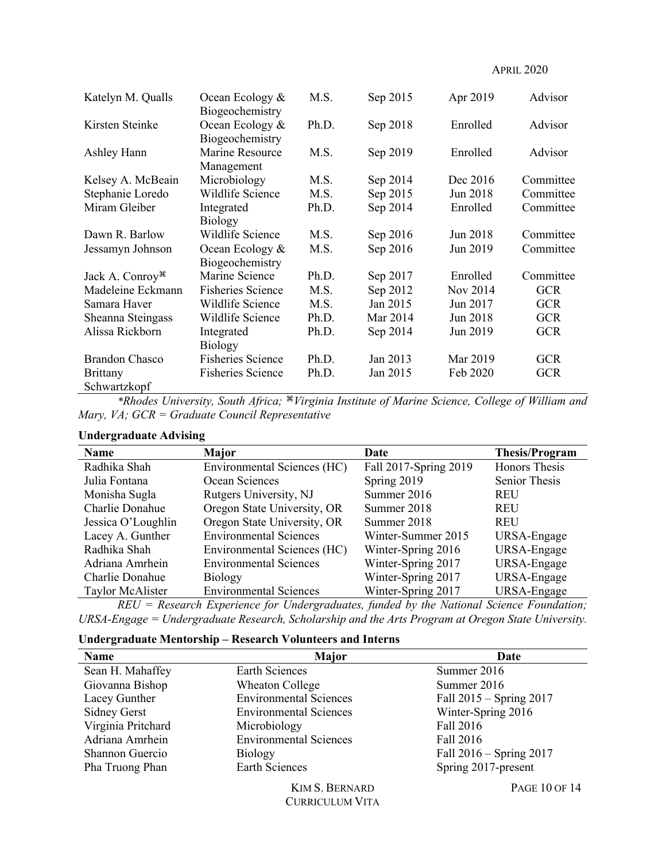APRIL 2020

| Katelyn M. Qualls           | Ocean Ecology &<br>Biogeochemistry | M.S.  | Sep 2015 | Apr 2019 | Advisor    |
|-----------------------------|------------------------------------|-------|----------|----------|------------|
| Kirsten Steinke             | Ocean Ecology &<br>Biogeochemistry | Ph.D. | Sep 2018 | Enrolled | Advisor    |
| Ashley Hann                 | Marine Resource<br>Management      | M.S.  | Sep 2019 | Enrolled | Advisor    |
| Kelsey A. McBeain           | Microbiology                       | M.S.  | Sep 2014 | Dec 2016 | Committee  |
| Stephanie Loredo            | Wildlife Science                   | M.S.  | Sep 2015 | Jun 2018 | Committee  |
| Miram Gleiber               | Integrated<br><b>Biology</b>       | Ph.D. | Sep 2014 | Enrolled | Committee  |
| Dawn R. Barlow              | Wildlife Science                   | M.S.  | Sep 2016 | Jun 2018 | Committee  |
| Jessamyn Johnson            | Ocean Ecology &<br>Biogeochemistry | M.S.  | Sep 2016 | Jun 2019 | Committee  |
| Jack A. Conroy <sup>#</sup> | Marine Science                     | Ph.D. | Sep 2017 | Enrolled | Committee  |
| Madeleine Eckmann           | <b>Fisheries Science</b>           | M.S.  | Sep 2012 | Nov 2014 | <b>GCR</b> |
| Samara Haver                | Wildlife Science                   | M.S.  | Jan 2015 | Jun 2017 | <b>GCR</b> |
| Sheanna Steingass           | Wildlife Science                   | Ph.D. | Mar 2014 | Jun 2018 | <b>GCR</b> |
| Alissa Rickborn             | Integrated<br><b>Biology</b>       | Ph.D. | Sep 2014 | Jun 2019 | <b>GCR</b> |
| <b>Brandon Chasco</b>       | <b>Fisheries Science</b>           | Ph.D. | Jan 2013 | Mar 2019 | <b>GCR</b> |
| <b>Brittany</b>             | <b>Fisheries Science</b>           | Ph.D. | Jan 2015 | Feb 2020 | <b>GCR</b> |
| Schwartzkopf                |                                    |       |          |          |            |

*\*Rhodes University, South Africa;* ⌘*Virginia Institute of Marine Science, College of William and Mary, VA; GCR = Graduate Council Representative*

### **Undergraduate Advising**

| Name               | Major                         | Date                  | <b>Thesis/Program</b> |
|--------------------|-------------------------------|-----------------------|-----------------------|
| Radhika Shah       | Environmental Sciences (HC)   | Fall 2017-Spring 2019 | Honors Thesis         |
| Julia Fontana      | Ocean Sciences                | Spring 2019           | Senior Thesis         |
| Monisha Sugla      | Rutgers University, NJ        | Summer 2016           | <b>REU</b>            |
| Charlie Donahue    | Oregon State University, OR   | Summer 2018           | <b>REU</b>            |
| Jessica O'Loughlin | Oregon State University, OR   | Summer 2018           | <b>REU</b>            |
| Lacey A. Gunther   | <b>Environmental Sciences</b> | Winter-Summer 2015    | URSA-Engage           |
| Radhika Shah       | Environmental Sciences (HC)   | Winter-Spring 2016    | URSA-Engage           |
| Adriana Amrhein    | <b>Environmental Sciences</b> | Winter-Spring 2017    | URSA-Engage           |
| Charlie Donahue    | <b>Biology</b>                | Winter-Spring 2017    | URSA-Engage           |
| Taylor McAlister   | <b>Environmental Sciences</b> | Winter-Spring 2017    | URSA-Engage           |

*REU = Research Experience for Undergraduates, funded by the National Science Foundation; URSA-Engage = Undergraduate Research, Scholarship and the Arts Program at Oregon State University.*

|  |  | <b>Undergraduate Mentorship – Research Volunteers and Interns</b> |
|--|--|-------------------------------------------------------------------|
|  |  |                                                                   |

| Name                | Major                         | Date                        |
|---------------------|-------------------------------|-----------------------------|
| Sean H. Mahaffey    | <b>Earth Sciences</b>         | Summer 2016                 |
| Giovanna Bishop     | Wheaton College               | Summer 2016                 |
| Lacey Gunther       | <b>Environmental Sciences</b> | Fall 2015 - Spring 2017     |
| <b>Sidney Gerst</b> | <b>Environmental Sciences</b> | Winter-Spring 2016          |
| Virginia Pritchard  | Microbiology                  | Fall 2016                   |
| Adriana Amrhein     | <b>Environmental Sciences</b> | Fall 2016                   |
| Shannon Guercio     | <b>Biology</b>                | Fall $2016 -$ Spring $2017$ |
| Pha Truong Phan     | <b>Earth Sciences</b>         | Spring 2017-present         |
|                     | <b>KIM S. BERNARD</b>         | PAGE 10 OF 14               |

CURRICULUM VITA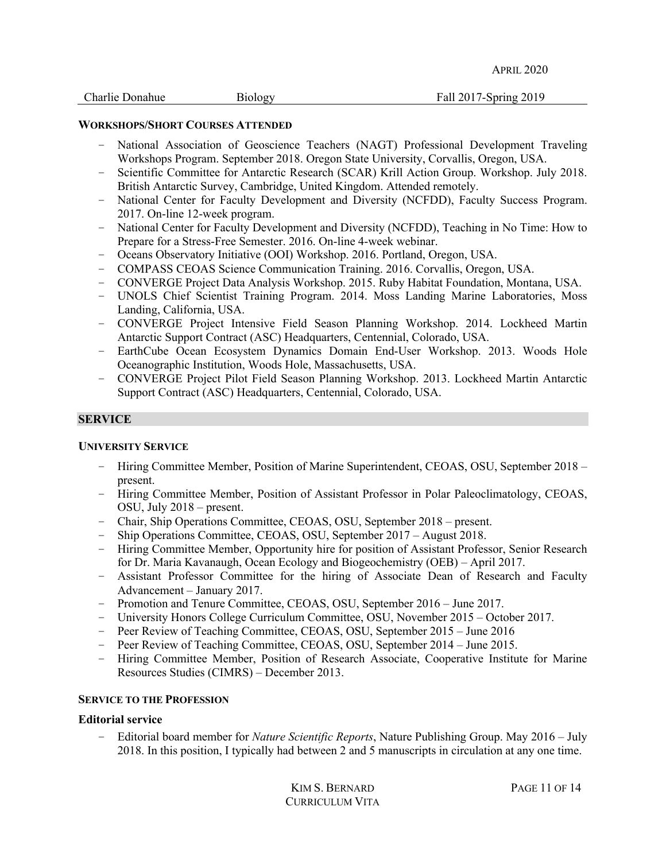| Charlie Donahue |
|-----------------|
|-----------------|

# **WORKSHOPS/SHORT COURSES ATTENDED**

- National Association of Geoscience Teachers (NAGT) Professional Development Traveling Workshops Program. September 2018. Oregon State University, Corvallis, Oregon, USA.
- Scientific Committee for Antarctic Research (SCAR) Krill Action Group. Workshop. July 2018. British Antarctic Survey, Cambridge, United Kingdom. Attended remotely.
- National Center for Faculty Development and Diversity (NCFDD), Faculty Success Program. 2017. On-line 12-week program.
- National Center for Faculty Development and Diversity (NCFDD), Teaching in No Time: How to Prepare for a Stress-Free Semester. 2016. On-line 4-week webinar.
- Oceans Observatory Initiative (OOI) Workshop. 2016. Portland, Oregon, USA.
- COMPASS CEOAS Science Communication Training. 2016. Corvallis, Oregon, USA.
- CONVERGE Project Data Analysis Workshop. 2015. Ruby Habitat Foundation, Montana, USA.
- UNOLS Chief Scientist Training Program. 2014. Moss Landing Marine Laboratories, Moss Landing, California, USA.
- CONVERGE Project Intensive Field Season Planning Workshop. 2014. Lockheed Martin Antarctic Support Contract (ASC) Headquarters, Centennial, Colorado, USA.
- EarthCube Ocean Ecosystem Dynamics Domain End-User Workshop. 2013. Woods Hole Oceanographic Institution, Woods Hole, Massachusetts, USA.
- CONVERGE Project Pilot Field Season Planning Workshop. 2013. Lockheed Martin Antarctic Support Contract (ASC) Headquarters, Centennial, Colorado, USA.

### **SERVICE**

### **UNIVERSITY SERVICE**

- Hiring Committee Member, Position of Marine Superintendent, CEOAS, OSU, September 2018 present.
- Hiring Committee Member, Position of Assistant Professor in Polar Paleoclimatology, CEOAS, OSU, July 2018 – present.
- Chair, Ship Operations Committee, CEOAS, OSU, September 2018 present.
- Ship Operations Committee, CEOAS, OSU, September 2017 August 2018.
- Hiring Committee Member, Opportunity hire for position of Assistant Professor, Senior Research for Dr. Maria Kavanaugh, Ocean Ecology and Biogeochemistry (OEB) – April 2017.
- Assistant Professor Committee for the hiring of Associate Dean of Research and Faculty Advancement – January 2017.
- Promotion and Tenure Committee, CEOAS, OSU, September 2016 June 2017.
- University Honors College Curriculum Committee, OSU, November 2015 October 2017.
- Peer Review of Teaching Committee, CEOAS, OSU, September 2015 June 2016
- Peer Review of Teaching Committee, CEOAS, OSU, September 2014 June 2015.
- Hiring Committee Member, Position of Research Associate, Cooperative Institute for Marine Resources Studies (CIMRS) – December 2013.

#### **SERVICE TO THE PROFESSION**

### **Editorial service**

– Editorial board member for *Nature Scientific Reports*, Nature Publishing Group. May 2016 – July 2018. In this position, I typically had between 2 and 5 manuscripts in circulation at any one time.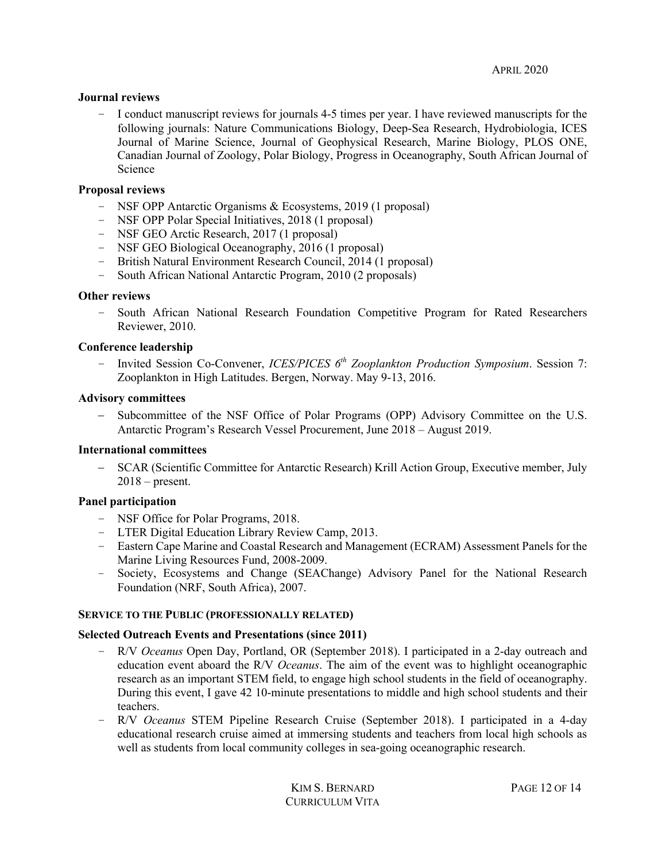### **Journal reviews**

– I conduct manuscript reviews for journals 4-5 times per year. I have reviewed manuscripts for the following journals: Nature Communications Biology, Deep-Sea Research, Hydrobiologia, ICES Journal of Marine Science, Journal of Geophysical Research, Marine Biology, PLOS ONE, Canadian Journal of Zoology, Polar Biology, Progress in Oceanography, South African Journal of Science

### **Proposal reviews**

- NSF OPP Antarctic Organisms & Ecosystems, 2019 (1 proposal)
- NSF OPP Polar Special Initiatives, 2018 (1 proposal)
- NSF GEO Arctic Research, 2017 (1 proposal)
- NSF GEO Biological Oceanography, 2016 (1 proposal)
- British Natural Environment Research Council, 2014 (1 proposal)
- South African National Antarctic Program, 2010 (2 proposals)

### **Other reviews**

– South African National Research Foundation Competitive Program for Rated Researchers Reviewer, 2010.

### **Conference leadership**

– Invited Session Co-Convener, *ICES/PICES 6th Zooplankton Production Symposium*. Session 7: Zooplankton in High Latitudes. Bergen, Norway. May 9-13, 2016.

### **Advisory committees**

- Subcommittee of the NSF Office of Polar Programs (OPP) Advisory Committee on the U.S. Antarctic Program's Research Vessel Procurement, June 2018 – August 2019.

#### **International committees**

- SCAR (Scientific Committee for Antarctic Research) Krill Action Group, Executive member, July  $2018$  – present.

### **Panel participation**

- NSF Office for Polar Programs, 2018.
- LTER Digital Education Library Review Camp, 2013.
- Eastern Cape Marine and Coastal Research and Management (ECRAM) Assessment Panels for the Marine Living Resources Fund, 2008-2009.
- Society, Ecosystems and Change (SEAChange) Advisory Panel for the National Research Foundation (NRF, South Africa), 2007.

#### **SERVICE TO THE PUBLIC (PROFESSIONALLY RELATED)**

#### **Selected Outreach Events and Presentations (since 2011)**

- R/V *Oceanus* Open Day, Portland, OR (September 2018). I participated in a 2-day outreach and education event aboard the R/V *Oceanus*. The aim of the event was to highlight oceanographic research as an important STEM field, to engage high school students in the field of oceanography. During this event, I gave 42 10-minute presentations to middle and high school students and their teachers.
- R/V *Oceanus* STEM Pipeline Research Cruise (September 2018). I participated in a 4-day educational research cruise aimed at immersing students and teachers from local high schools as well as students from local community colleges in sea-going oceanographic research.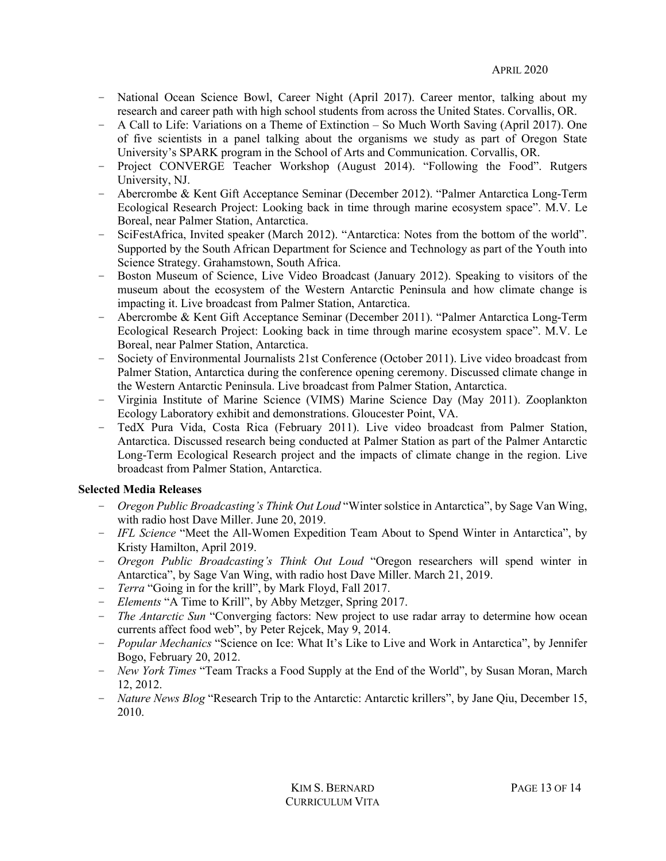- National Ocean Science Bowl, Career Night (April 2017). Career mentor, talking about my research and career path with high school students from across the United States. Corvallis, OR.
- A Call to Life: Variations on a Theme of Extinction So Much Worth Saving (April 2017). One of five scientists in a panel talking about the organisms we study as part of Oregon State University's SPARK program in the School of Arts and Communication. Corvallis, OR.
- Project CONVERGE Teacher Workshop (August 2014). "Following the Food". Rutgers University, NJ.
- Abercrombe & Kent Gift Acceptance Seminar (December 2012). "Palmer Antarctica Long-Term Ecological Research Project: Looking back in time through marine ecosystem space". M.V. Le Boreal, near Palmer Station, Antarctica.
- SciFestAfrica, Invited speaker (March 2012). "Antarctica: Notes from the bottom of the world". Supported by the South African Department for Science and Technology as part of the Youth into Science Strategy. Grahamstown, South Africa.
- Boston Museum of Science, Live Video Broadcast (January 2012). Speaking to visitors of the museum about the ecosystem of the Western Antarctic Peninsula and how climate change is impacting it. Live broadcast from Palmer Station, Antarctica.
- Abercrombe & Kent Gift Acceptance Seminar (December 2011). "Palmer Antarctica Long-Term Ecological Research Project: Looking back in time through marine ecosystem space". M.V. Le Boreal, near Palmer Station, Antarctica.
- Society of Environmental Journalists 21st Conference (October 2011). Live video broadcast from Palmer Station, Antarctica during the conference opening ceremony. Discussed climate change in the Western Antarctic Peninsula. Live broadcast from Palmer Station, Antarctica.
- Virginia Institute of Marine Science (VIMS) Marine Science Day (May 2011). Zooplankton Ecology Laboratory exhibit and demonstrations. Gloucester Point, VA.
- TedX Pura Vida, Costa Rica (February 2011). Live video broadcast from Palmer Station, Antarctica. Discussed research being conducted at Palmer Station as part of the Palmer Antarctic Long-Term Ecological Research project and the impacts of climate change in the region. Live broadcast from Palmer Station, Antarctica.

# **Selected Media Releases**

- *Oregon Public Broadcasting's Think Out Loud* "Winter solstice in Antarctica", by Sage Van Wing, with radio host Dave Miller. June 20, 2019.
- *IFL Science* "Meet the All-Women Expedition Team About to Spend Winter in Antarctica", by Kristy Hamilton, April 2019.
- *Oregon Public Broadcasting's Think Out Loud* "Oregon researchers will spend winter in Antarctica", by Sage Van Wing, with radio host Dave Miller. March 21, 2019.
- *Terra* "Going in for the krill", by Mark Floyd, Fall 2017.
- *Elements* "A Time to Krill", by Abby Metzger, Spring 2017.
- *The Antarctic Sun* "Converging factors: New project to use radar array to determine how ocean currents affect food web", by Peter Rejcek, May 9, 2014.
- *Popular Mechanics* "Science on Ice: What It's Like to Live and Work in Antarctica", by Jennifer Bogo, February 20, 2012.
- *New York Times* "Team Tracks a Food Supply at the End of the World", by Susan Moran, March 12, 2012.
- *Nature News Blog* "Research Trip to the Antarctic: Antarctic krillers", by Jane Qiu, December 15, 2010.